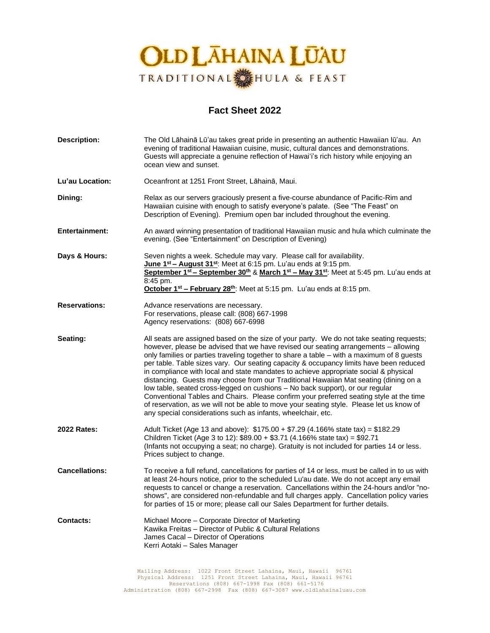

# **Fact Sheet 2022**

| <b>Description:</b>   | The Old Lāhainā Lū'au takes great pride in presenting an authentic Hawaiian lū'au. An<br>evening of traditional Hawaiian cuisine, music, cultural dances and demonstrations.<br>Guests will appreciate a genuine reflection of Hawai'i's rich history while enjoying an<br>ocean view and sunset.                                                                                                                                                                                                                                                                                                                                                                                                                                                                                                                                                                                              |
|-----------------------|------------------------------------------------------------------------------------------------------------------------------------------------------------------------------------------------------------------------------------------------------------------------------------------------------------------------------------------------------------------------------------------------------------------------------------------------------------------------------------------------------------------------------------------------------------------------------------------------------------------------------------------------------------------------------------------------------------------------------------------------------------------------------------------------------------------------------------------------------------------------------------------------|
| Lu'au Location:       | Oceanfront at 1251 Front Street, Lāhainā, Maui.                                                                                                                                                                                                                                                                                                                                                                                                                                                                                                                                                                                                                                                                                                                                                                                                                                                |
| Dining:               | Relax as our servers graciously present a five-course abundance of Pacific-Rim and<br>Hawaiian cuisine with enough to satisfy everyone's palate. (See "The Feast" on<br>Description of Evening). Premium open bar included throughout the evening.                                                                                                                                                                                                                                                                                                                                                                                                                                                                                                                                                                                                                                             |
| <b>Entertainment:</b> | An award winning presentation of traditional Hawaiian music and hula which culminate the<br>evening. (See "Entertainment" on Description of Evening)                                                                                                                                                                                                                                                                                                                                                                                                                                                                                                                                                                                                                                                                                                                                           |
| Days & Hours:         | Seven nights a week. Schedule may vary. Please call for availability.<br>June 1 <sup>st</sup> - August 31 <sup>st</sup> : Meet at 6:15 pm. Lu'au ends at 9:15 pm.<br>September 1 <sup>st</sup> - September 30 <sup>th</sup> & March 1 <sup>st</sup> - May 31 <sup>st</sup> : Meet at 5:45 pm. Lu'au ends at<br>8:45 pm.<br>October 1 <sup>st</sup> - February 28 <sup>th</sup> : Meet at 5:15 pm. Lu'au ends at 8:15 pm.                                                                                                                                                                                                                                                                                                                                                                                                                                                                       |
| <b>Reservations:</b>  | Advance reservations are necessary.<br>For reservations, please call: (808) 667-1998<br>Agency reservations: (808) 667-6998                                                                                                                                                                                                                                                                                                                                                                                                                                                                                                                                                                                                                                                                                                                                                                    |
| Seating:              | All seats are assigned based on the size of your party. We do not take seating requests;<br>however, please be advised that we have revised our seating arrangements - allowing<br>only families or parties traveling together to share a table - with a maximum of 8 guests<br>per table. Table sizes vary. Our seating capacity & occupancy limits have been reduced<br>in compliance with local and state mandates to achieve appropriate social & physical<br>distancing. Guests may choose from our Traditional Hawaiian Mat seating (dining on a<br>low table, seated cross-legged on cushions - No back support), or our regular<br>Conventional Tables and Chairs. Please confirm your preferred seating style at the time<br>of reservation, as we will not be able to move your seating style. Please let us know of<br>any special considerations such as infants, wheelchair, etc. |
| <b>2022 Rates:</b>    | Adult Ticket (Age 13 and above): \$175.00 + \$7.29 (4.166% state tax) = \$182.29<br>Children Ticket (Age 3 to 12): \$89.00 + \$3.71 (4.166% state tax) = \$92.71<br>(Infants not occupying a seat; no charge). Gratuity is not included for parties 14 or less.<br>Prices subject to change.                                                                                                                                                                                                                                                                                                                                                                                                                                                                                                                                                                                                   |
| <b>Cancellations:</b> | To receive a full refund, cancellations for parties of 14 or less, must be called in to us with<br>at least 24-hours notice, prior to the scheduled Lu'au date. We do not accept any email<br>requests to cancel or change a reservation. Cancellations within the 24-hours and/or "no-<br>shows", are considered non-refundable and full charges apply. Cancellation policy varies<br>for parties of 15 or more; please call our Sales Department for further details.                                                                                                                                                                                                                                                                                                                                                                                                                        |
| <b>Contacts:</b>      | Michael Moore – Corporate Director of Marketing<br>Kawika Freitas - Director of Public & Cultural Relations<br>James Cacal - Director of Operations<br>Kerri Aotaki - Sales Manager                                                                                                                                                                                                                                                                                                                                                                                                                                                                                                                                                                                                                                                                                                            |
|                       | Mailing Address: 1022 Front Street Lahaina, Maui, Hawaii 96761                                                                                                                                                                                                                                                                                                                                                                                                                                                                                                                                                                                                                                                                                                                                                                                                                                 |

Mailing Address: 1022 Front Street Lahaina, Maui, Hawaii 96761<br>Physical Address: 1251 Front Street Lahaina, Maui, Hawaii 96761<br>Reservations (808) 667-1998 Fax (808) 661-301 661-5176<br>Administration (808) 667-2998 Fax (808)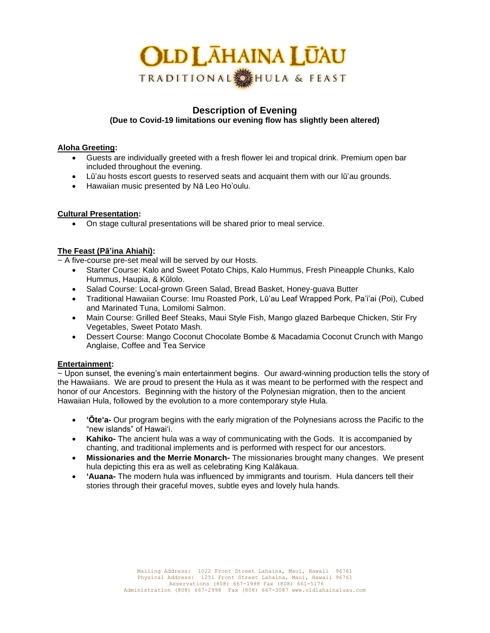# **OLD LAHAINA LUAU** TRADITIONAL HULA & FEAST

# **Description of Evening (Due to Covid-19 limitations our evening flow has slightly been altered)**

## **Aloha Greeting:**

- Guests are individually greeted with a fresh flower lei and tropical drink. Premium open bar included throughout the evening.
- Lū'au hosts escort guests to reserved seats and acquaint them with our lū'au grounds.
- Hawaiian music presented by Nā Leo Ho'oulu.

# **Cultural Presentation:**

• On stage cultural presentations will be shared prior to meal service.

# **The Feast (Pā'ina Ahiahi):**

~ A five-course pre-set meal will be served by our Hosts.

- Starter Course: Kalo and Sweet Potato Chips, Kalo Hummus, Fresh Pineapple Chunks, Kalo Hummus, Haupia, & Kūlolo.
- Salad Course: Local-grown Green Salad, Bread Basket, Honey-guava Butter
- Traditional Hawaiian Course: Imu Roasted Pork, Lū'au Leaf Wrapped Pork, Pa'i'ai (Poi), Cubed and Marinated Tuna, Lomilomi Salmon.
- Main Course: Grilled Beef Steaks, Maui Style Fish, Mango glazed Barbeque Chicken, Stir Fry Vegetables, Sweet Potato Mash.
- Dessert Course: Mango Coconut Chocolate Bombe & Macadamia Coconut Crunch with Mango Anglaise, Coffee and Tea Service

## **Entertainment:**

~ Upon sunset, the evening's main entertainment begins. Our award-winning production tells the story of the Hawaiians. We are proud to present the Hula as it was meant to be performed with the respect and honor of our Ancestors. Beginning with the history of the Polynesian migration, then to the ancient Hawaiian Hula, followed by the evolution to a more contemporary style Hula.

- **ʻŌteʻa-** Our program begins with the early migration of the Polynesians across the Pacific to the "new islands" of Hawaiʻi.
- **Kahiko-** The ancient hula was a way of communicating with the Gods. It is accompanied by chanting, and traditional implements and is performed with respect for our ancestors.
- **Missionaries and the Merrie Monarch-** The missionaries brought many changes. We present hula depicting this era as well as celebrating King Kalākaua.
- **ʻAuana-** The modern hula was influenced by immigrants and tourism. Hula dancers tell their stories through their graceful moves, subtle eyes and lovely hula hands.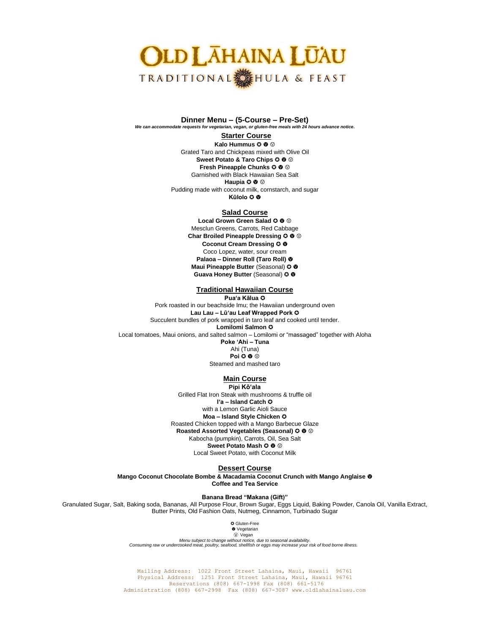# **OLD LAHAINA LŪAU** TRADITIONAL SHULA & FEAST

**Dinner Menu – (5-Course – Pre-Set)**  *We can accommodate requests for vegetarian, vegan, or gluten-free meals with 24 hours advance notice***.**

#### **Starter Course**

**Kalo Hummus**  $Q \otimes Q$ Grated Taro and Chickpeas mixed with Olive Oil **Sweet Potato & Taro Chips**  $\odot$  $\odot$   $\odot$ **Fresh Pineapple Chunks**  $Q \otimes Q$ Garnished with Black Hawaiian Sea Salt **Haupia**  $\odot$  $\odot$ Pudding made with coconut milk, cornstarch, and sugar **Kūlolo** ✪

#### **Salad Course**

**Local Grown Green Salad**  $\odot$  $\odot$   $\odot$ Mesclun Greens, Carrots, Red Cabbage **Char Broiled Pineapple Dressing**  $\Omega$  $\Phi$ **Coconut Cream Dressing** ✪ Coco Lopez, water, sour cream **Palaoa – Dinner Roll (Taro Roll) Maui Pineapple Butter (Seasonal)**  $Q$  **@** Guava Honey Butter (Seasonal)  $\odot$  **W** 

### **Traditional Hawaiian Course**

**Pua'a Kālua** ✪ Pork roasted in our beachside Imu; the Hawaiian underground oven **Lau Lau – Lū'au Leaf Wrapped Pork** ✪ Succulent bundles of pork wrapped in taro leaf and cooked until tender. **Lomilomi Salmon** ✪ Local tomatoes, Maui onions, and salted salmon – Lomilomi or "massaged" together with Aloha

**Poke 'Ahi – Tuna**  Ahi (Tuna) **Poi**  $\odot$   $\odot$ Steamed and mashed taro

#### **Main Course Pipi Kō'ala**

Grilled Flat Iron Steak with mushrooms & truffle oil **I'a – Island Catch** ✪ with a Lemon Garlic Aioli Sauce **Moa – Island Style Chicken** ✪ Roasted Chicken topped with a Mango Barbecue Glaze **Roasted Assorted Vegetables (Seasonal)**  $Q \otimes Q$ Kabocha (pumpkin), Carrots, Oil, Sea Salt **Sweet Potato Mash**  $\Omega$  **<sup>®</sup>** Local Sweet Potato, with Coconut Milk

#### **Dessert Course**

**Mango Coconut Chocolate Bombe & Macadamia Coconut Crunch with Mango Anglaise Coffee and Tea Service** 

**Banana Bread "Makana (Gift)"**

Granulated Sugar, Salt, Baking soda, Bananas, All Purpose Flour, Brown Sugar, Eggs Liquid, Baking Powder, Canola Oil, Vanilla Extract, Butter Prints, Old Fashion Oats, Nutmeg, Cinnamon, Turbinado Sugar

> ✪ Gluten-Free  $\bullet$  Vegetarian

Ⓥ Vegan

*Menu subject to change without notice, due to seasonal availability*. *Consuming raw or undercooked meat, poultry, seafood, shellfish or eggs may increase your risk of food borne illness.*

Mailing Address: 1022 Front Street Lahaina, Maui, Hawaii 96761 Physical Address: 1251 Front Street Lahaina, Maui, Hawaii 96761 Reservations (808) 667-1998 Fax (808) 661-5176 Administration (808) 667-2998 Fax (808) 667-3087 www.oldlahainaluau.com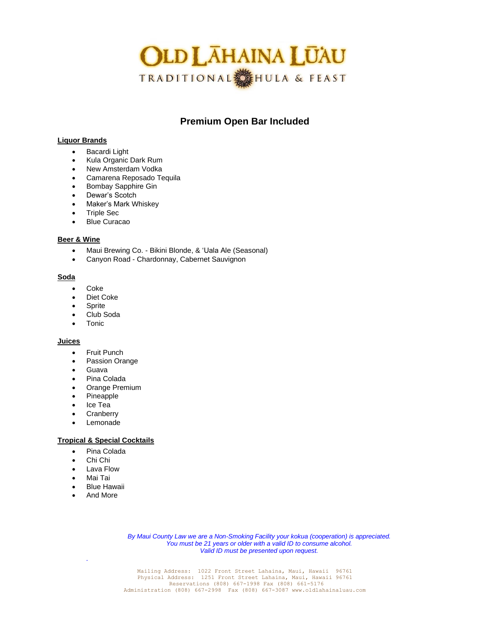

# **Premium Open Bar Included**

#### **Liquor Brands**

- Bacardi Light
- Kula Organic Dark Rum
- New Amsterdam Vodka
- Camarena Reposado Tequila
- Bombay Sapphire Gin
- Dewar's Scotch
- Maker's Mark Whiskey
- Triple Sec
- Blue Curacao

#### **Beer & Wine**

- Maui Brewing Co. Bikini Blonde, & 'Uala Ale (Seasonal)
- Canyon Road Chardonnay, Cabernet Sauvignon

#### **Soda**

- Coke
- Diet Coke
- **Sprite**
- Club Soda
- Tonic

#### **Juices**

- Fruit Punch
- Passion Orange
- Guava
- Pina Colada
- Orange Premium
- Pineapple
- Ice Tea
- Cranberry
- Lemonade

#### **Tropical & Special Cocktails**

- Pina Colada
- Chi Chi
- Lava Flow
- Mai Tai

*.*

- **Blue Hawaii**
- And More

*By Maui County Law we are a Non-Smoking Facility your kokua (cooperation) is appreciated. You must be 21 years or older with a valid ID to consume alcohol. Valid ID must be presented upon request.*

Mailing Address: 1022 Front Street Lahaina, Maui, Hawaii 96761<br>Physical Address: 1251 Front Street Lahaina, Maui, Hawaii 96761<br>Reservations (808) 667-1998 Fax (808) 661-301 661-5176<br>Administration (808) 667-2998 Fax (808)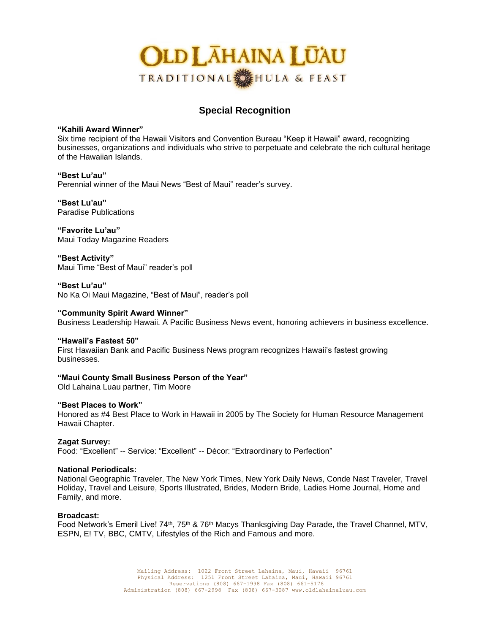

# **Special Recognition**

**"Kahili Award Winner"**

Six time recipient of the Hawaii Visitors and Convention Bureau "Keep it Hawaii" award, recognizing businesses, organizations and individuals who strive to perpetuate and celebrate the rich cultural heritage of the Hawaiian Islands.

**"Best Lu'au"** Perennial winner of the Maui News "Best of Maui" reader's survey.

**"Best Lu'au"** Paradise Publications

**"Favorite Lu'au"** Maui Today Magazine Readers

**"Best Activity"** Maui Time "Best of Maui" reader's poll

**"Best Lu'au"** No Ka Oi Maui Magazine, "Best of Maui", reader's poll

**"Community Spirit Award Winner"** Business Leadership Hawaii. A Pacific Business News event, honoring achievers in business excellence.

### **"Hawaii's Fastest 50"**

First Hawaiian Bank and Pacific Business News program recognizes Hawaii's fastest growing businesses.

**"Maui County Small Business Person of the Year"**

Old Lahaina Luau partner, Tim Moore

### **"Best Places to Work"**

Honored as #4 Best Place to Work in Hawaii in 2005 by The Society for Human Resource Management Hawaii Chapter.

**Zagat Survey:** Food: "Excellent" -- Service: "Excellent" -- Décor: "Extraordinary to Perfection"

### **National Periodicals:**

National Geographic Traveler, The New York Times, New York Daily News, Conde Nast Traveler, Travel Holiday, Travel and Leisure, Sports Illustrated, Brides, Modern Bride, Ladies Home Journal, Home and Family, and more.

### **Broadcast:**

Food Network's Emeril Live! 74<sup>th</sup>, 75<sup>th</sup> & 76<sup>th</sup> Macys Thanksgiving Day Parade, the Travel Channel, MTV, ESPN, E! TV, BBC, CMTV, Lifestyles of the Rich and Famous and more.

> Mailing Address: 1022 Front Street Lahaina, Maui, Hawaii 96761 Physical Address: 1251 Front Street Lahaina, Maui, Hawaii 96761 Reservations (808) 667-1998 Fax (808) 661-5176 Administration (808) 667-2998 Fax (808) 667-3087 www.oldlahainaluau.com